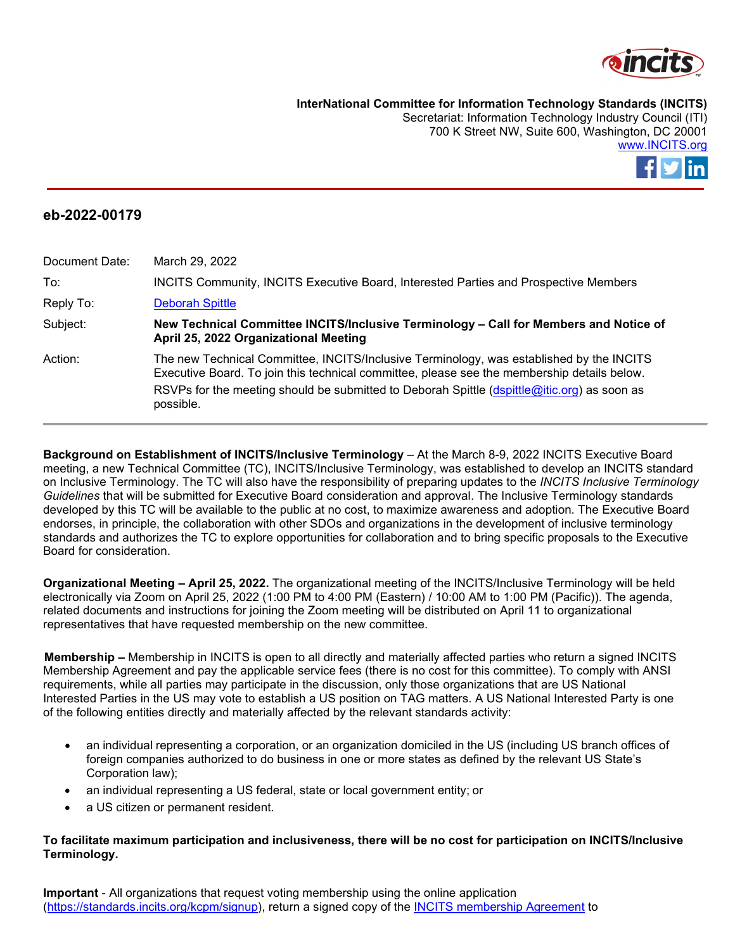

**InterNational Committee for Information Technology Standards (INCITS)**

Secretariat: Information Technology Industry Council (ITI) 700 K Street NW, Suite 600, Washington, DC 20001 [www.INCITS.org](http://www.incits.org/)



## **eb-2022-00179**

| Document Date: | March 29, 2022                                                                                                                                                                                                                                                                                      |
|----------------|-----------------------------------------------------------------------------------------------------------------------------------------------------------------------------------------------------------------------------------------------------------------------------------------------------|
| To:            | INCITS Community, INCITS Executive Board, Interested Parties and Prospective Members                                                                                                                                                                                                                |
| Reply To:      | <b>Deborah Spittle</b>                                                                                                                                                                                                                                                                              |
| Subject:       | New Technical Committee INCITS/Inclusive Terminology - Call for Members and Notice of<br>April 25, 2022 Organizational Meeting                                                                                                                                                                      |
| Action:        | The new Technical Committee, INCITS/Inclusive Terminology, was established by the INCITS<br>Executive Board. To join this technical committee, please see the membership details below.<br>RSVPs for the meeting should be submitted to Deborah Spittle (dspittle@itic.org) as soon as<br>possible. |

**Background on Establishment of INCITS/Inclusive Terminology** - At the March 8-9, 2022 INCITS Executive Board meeting, a new Technical Committee (TC), INCITS/Inclusive Terminology, was established to develop an INCITS standard on Inclusive Terminology. The TC will also have the responsibility of preparing updates to the *INCITS Inclusive Terminology Guidelines* that will be submitted for Executive Board consideration and approval. The Inclusive Terminology standards developed by this TC will be available to the public at no cost, to maximize awareness and adoption. The Executive Board endorses, in principle, the collaboration with other SDOs and organizations in the development of inclusive terminology standards and authorizes the TC to explore opportunities for collaboration and to bring specific proposals to the Executive Board for consideration.

**Organizational Meeting – April 25, 2022.** The organizational meeting of the INCITS/Inclusive Terminology will be held electronically via Zoom on April 25, 2022 (1:00 PM to 4:00 PM (Eastern) / 10:00 AM to 1:00 PM (Pacific)). The agenda, related documents and instructions for joining the Zoom meeting will be distributed on April 11 to organizational representatives that have requested membership on the new committee.

**Membership –** Membership in INCITS is open to all directly and materially affected parties who return a signed INCITS Membership Agreement and pay the applicable service fees (there is no cost for this committee). To comply with ANSI requirements, while all parties may participate in the discussion, only those organizations that are US National Interested Parties in the US may vote to establish a US position on TAG matters. A US National Interested Party is one of the following entities directly and materially affected by the relevant standards activity:

- an individual representing a corporation, or an organization domiciled in the US (including US branch offices of foreign companies authorized to do business in one or more states as defined by the relevant US State's Corporation law);
- an individual representing a US federal, state or local government entity; or
- a US citizen or permanent resident.

## **To facilitate maximum participation and inclusiveness, there will be no cost for participation on INCITS/Inclusive Terminology.**

**Important** - All organizations that request voting membership using the online application [\(https://standards.incits.org/kcpm/signup\)](https://standards.incits.org/kcpm/signup), return a signed copy of the [INCITS membership Agreement](https://standards.incits.org/apps/group_public/document.php?document_id=63271&wg_abbrev=eb) to